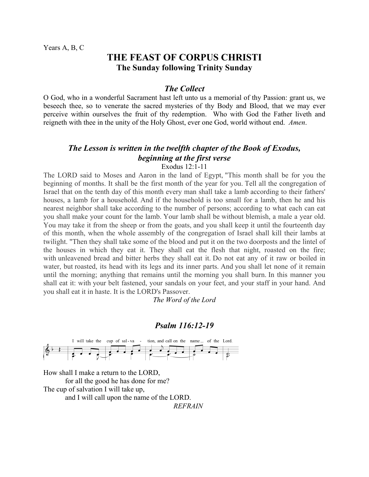# **THE FEAST OF CORPUS CHRISTI The Sunday following Trinity Sunday**

#### *The Collect*

O God, who in a wonderful Sacrament hast left unto us a memorial of thy Passion: grant us, we beseech thee, so to venerate the sacred mysteries of thy Body and Blood, that we may ever perceive within ourselves the fruit of thy redemption. Who with God the Father liveth and reigneth with thee in the unity of the Holy Ghost, ever one God, world without end. *Amen*.

## *The Lesson is written in the twelfth chapter of the Book of Exodus, beginning at the first verse*

Exodus 12:1-11

The LORD said to Moses and Aaron in the land of Egypt, "This month shall be for you the beginning of months. It shall be the first month of the year for you. Tell all the congregation of Israel that on the tenth day of this month every man shall take a lamb according to their fathers' houses, a lamb for a household. And if the household is too small for a lamb, then he and his nearest neighbor shall take according to the number of persons; according to what each can eat you shall make your count for the lamb. Your lamb shall be without blemish, a male a year old. You may take it from the sheep or from the goats, and you shall keep it until the fourteenth day of this month, when the whole assembly of the congregation of Israel shall kill their lambs at twilight. "Then they shall take some of the blood and put it on the two doorposts and the lintel of the houses in which they eat it. They shall eat the flesh that night, roasted on the fire; with unleavened bread and bitter herbs they shall eat it. Do not eat any of it raw or boiled in water, but roasted, its head with its legs and its inner parts. And you shall let none of it remain until the morning; anything that remains until the morning you shall burn. In this manner you shall eat it: with your belt fastened, your sandals on your feet, and your staff in your hand. And you shall eat it in haste. It is the LORD's Passover.

*The Word of the Lord*

#### *Psalm 116:12-19*



How shall I make a return to the LORD,

for all the good he has done for me?

The cup of salvation I will take up,

and I will call upon the name of the LORD.

*REFRAIN*